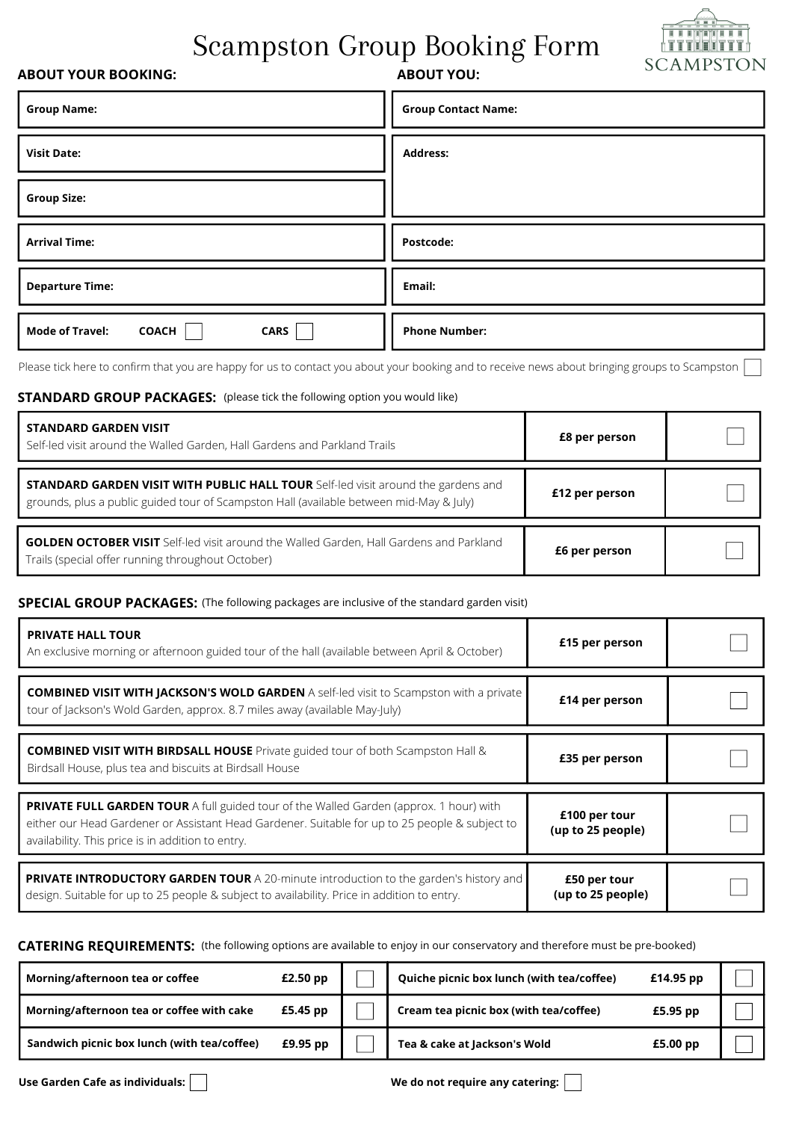# Scampston Group Booking Form



## **ABOUT YOUR BOOKING:**

# **ABOUT YOU:**

| <b>Group Name:</b>                                    | <b>Group Contact Name:</b> |
|-------------------------------------------------------|----------------------------|
| <b>Visit Date:</b>                                    | <b>Address:</b>            |
| <b>Group Size:</b>                                    |                            |
| <b>Arrival Time:</b>                                  | Postcode:                  |
| <b>Departure Time:</b>                                | Email:                     |
| <b>Mode of Travel:</b><br><b>CARS</b><br><b>COACH</b> | <b>Phone Number:</b>       |

Please tick here to confirm that you are happy for us to contact you about your booking and to receive news about bringing groups to Scampston

## **STANDARD GROUP PACKAGES:** (please tick the following option you would like)

| STANDARD GARDEN VISIT<br>Self-led visit around the Walled Garden, Hall Gardens and Parkland Trails                                                                                  | <b>£8 per person</b> |  |
|-------------------------------------------------------------------------------------------------------------------------------------------------------------------------------------|----------------------|--|
| <b>STANDARD GARDEN VISIT WITH PUBLIC HALL TOUR</b> Self-led visit around the gardens and<br>grounds, plus a public guided tour of Scampston Hall (available between mid-May & July) | £12 per person       |  |
| <b>GOLDEN OCTOBER VISIT</b> Self-led visit around the Walled Garden, Hall Gardens and Parkland<br>Trails (special offer running throughout October)                                 | £6 per person        |  |

## **SPECIAL GROUP PACKAGES:** (The following packages are inclusive of the standard garden visit)

| <b>PRIVATE HALL TOUR</b><br>An exclusive morning or afternoon guided tour of the hall (available between April & October)                                                                                                                     | £15 per person                     |  |
|-----------------------------------------------------------------------------------------------------------------------------------------------------------------------------------------------------------------------------------------------|------------------------------------|--|
| <b>COMBINED VISIT WITH JACKSON'S WOLD GARDEN</b> A self-led visit to Scampston with a private<br>tour of Jackson's Wold Garden, approx. 8.7 miles away (available May-July)                                                                   | £14 per person                     |  |
| <b>COMBINED VISIT WITH BIRDSALL HOUSE</b> Private guided tour of both Scampston Hall &<br>Birdsall House, plus tea and biscuits at Birdsall House                                                                                             | £35 per person                     |  |
| PRIVATE FULL GARDEN TOUR A full guided tour of the Walled Garden (approx. 1 hour) with<br>either our Head Gardener or Assistant Head Gardener. Suitable for up to 25 people & subject to<br>availability. This price is in addition to entry. | £100 per tour<br>(up to 25 people) |  |
| <b>PRIVATE INTRODUCTORY GARDEN TOUR</b> A 20-minute introduction to the garden's history and<br>design. Suitable for up to 25 people & subject to availability. Price in addition to entry.                                                   | £50 per tour<br>(up to 25 people)  |  |

**CATERING REQUIREMENTS:** (the following options are available to enjoy in our conservatory and therefore must be pre-booked)

| Morning/afternoon tea or coffee             | $£2.50$ pp | Quiche picnic box lunch (with tea/coffee) | £14.95 pp  |  |
|---------------------------------------------|------------|-------------------------------------------|------------|--|
| Morning/afternoon tea or coffee with cake   | £5.45 pp   | Cream tea picnic box (with tea/coffee)    | £5.95 pp   |  |
| Sandwich picnic box lunch (with tea/coffee) | £9.95 pp   | Tea & cake at Jackson's Wold              | $£5.00$ pp |  |

Use Garden Cafe as individuals: **We do not require any catering:**